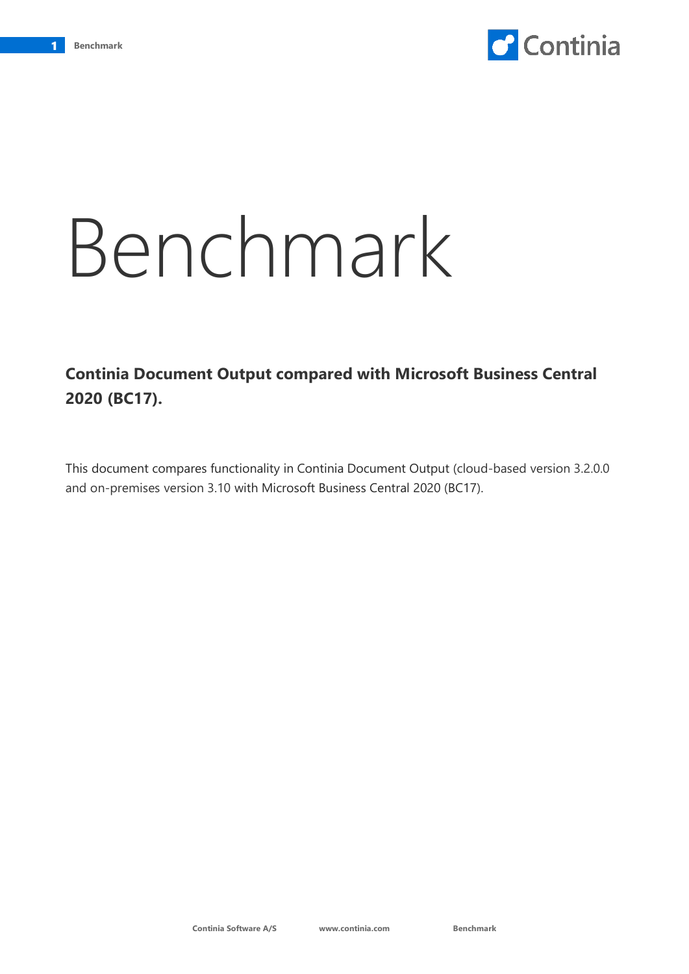

## Benchmark

## **Continia Document Output compared with Microsoft Business Central 2020 (BC17).**

This document compares functionality in Continia Document Output (cloud-based version 3.2.0.0 and on-premises version 3.10 with Microsoft Business Central 2020 (BC17).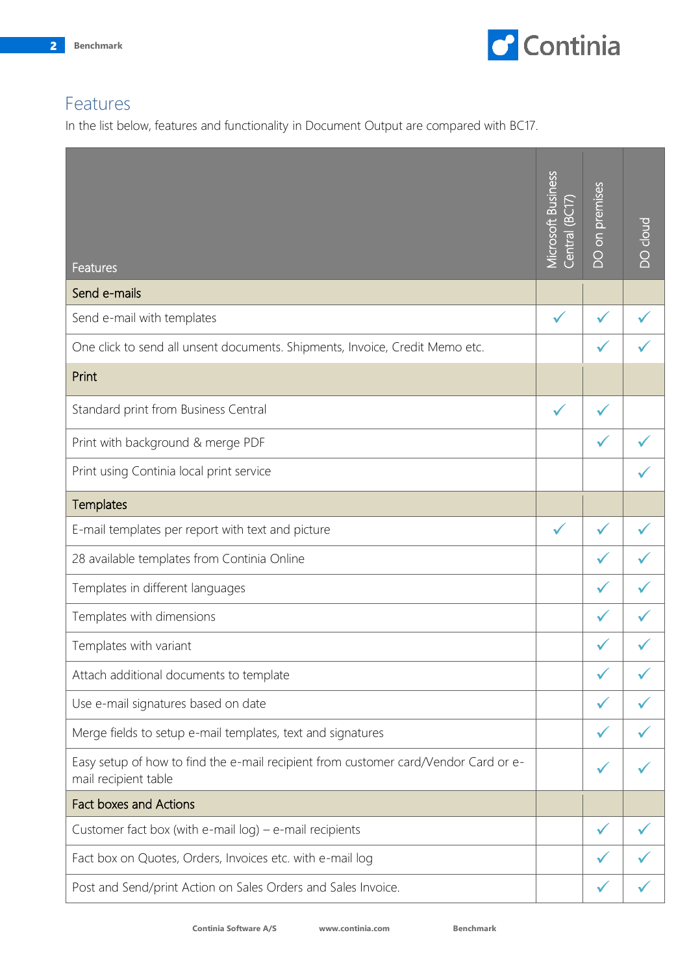

## Features

In the list below, features and functionality in Document Output are compared with BC17.

| Features                                                                                                    | <b>Microsoft Business</b><br>5<br>S<br>Central (B | <b>DO</b> on premises | <b>DO cloud</b> |
|-------------------------------------------------------------------------------------------------------------|---------------------------------------------------|-----------------------|-----------------|
| Send e-mails                                                                                                |                                                   |                       |                 |
| Send e-mail with templates                                                                                  | $\checkmark$                                      |                       |                 |
| One click to send all unsent documents. Shipments, Invoice, Credit Memo etc.                                |                                                   |                       |                 |
| Print                                                                                                       |                                                   |                       |                 |
| Standard print from Business Central                                                                        | $\checkmark$                                      |                       |                 |
| Print with background & merge PDF                                                                           |                                                   |                       |                 |
| Print using Continia local print service                                                                    |                                                   |                       |                 |
| Templates                                                                                                   |                                                   |                       |                 |
| E-mail templates per report with text and picture                                                           |                                                   |                       |                 |
| 28 available templates from Continia Online                                                                 |                                                   |                       |                 |
| Templates in different languages                                                                            |                                                   | $\checkmark$          |                 |
| Templates with dimensions                                                                                   |                                                   |                       |                 |
| Templates with variant                                                                                      |                                                   |                       |                 |
| Attach additional documents to template                                                                     |                                                   |                       |                 |
| Use e-mail signatures based on date                                                                         |                                                   |                       |                 |
| Merge fields to setup e-mail templates, text and signatures                                                 |                                                   |                       |                 |
| Easy setup of how to find the e-mail recipient from customer card/Vendor Card or e-<br>mail recipient table |                                                   |                       |                 |
| <b>Fact boxes and Actions</b>                                                                               |                                                   |                       |                 |
| Customer fact box (with e-mail $log$ ) – e-mail recipients                                                  |                                                   |                       |                 |
| Fact box on Quotes, Orders, Invoices etc. with e-mail log                                                   |                                                   |                       |                 |
| Post and Send/print Action on Sales Orders and Sales Invoice.                                               |                                                   |                       |                 |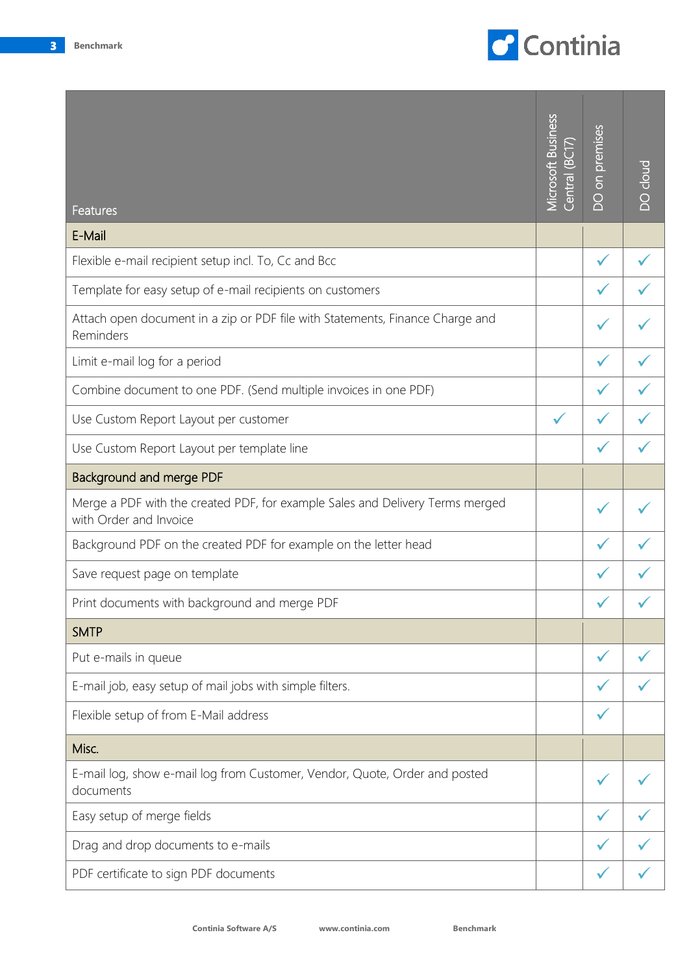

| Features                                                                                                | <b>Microsoft Business</b><br>$\tilde{\Xi}$<br>Central | on premises<br>Ō | cloud<br>$\overline{O}$ |
|---------------------------------------------------------------------------------------------------------|-------------------------------------------------------|------------------|-------------------------|
| E-Mail                                                                                                  |                                                       |                  |                         |
| Flexible e-mail recipient setup incl. To, Cc and Bcc                                                    |                                                       |                  |                         |
| Template for easy setup of e-mail recipients on customers                                               |                                                       |                  |                         |
| Attach open document in a zip or PDF file with Statements, Finance Charge and<br>Reminders              |                                                       |                  |                         |
| Limit e-mail log for a period                                                                           |                                                       |                  |                         |
| Combine document to one PDF. (Send multiple invoices in one PDF)                                        |                                                       |                  |                         |
| Use Custom Report Layout per customer                                                                   |                                                       |                  |                         |
| Use Custom Report Layout per template line                                                              |                                                       |                  |                         |
| Background and merge PDF                                                                                |                                                       |                  |                         |
| Merge a PDF with the created PDF, for example Sales and Delivery Terms merged<br>with Order and Invoice |                                                       |                  |                         |
| Background PDF on the created PDF for example on the letter head                                        |                                                       |                  |                         |
| Save request page on template                                                                           |                                                       |                  |                         |
| Print documents with background and merge PDF                                                           |                                                       |                  |                         |
| <b>SMTP</b>                                                                                             |                                                       |                  |                         |
| Put e-mails in queue                                                                                    |                                                       |                  |                         |
| E-mail job, easy setup of mail jobs with simple filters.                                                |                                                       |                  |                         |
| Flexible setup of from E-Mail address                                                                   |                                                       |                  |                         |
| Misc.                                                                                                   |                                                       |                  |                         |
| E-mail log, show e-mail log from Customer, Vendor, Quote, Order and posted<br>documents                 |                                                       |                  |                         |
| Easy setup of merge fields                                                                              |                                                       |                  |                         |
| Drag and drop documents to e-mails                                                                      |                                                       |                  |                         |
| PDF certificate to sign PDF documents                                                                   |                                                       |                  |                         |